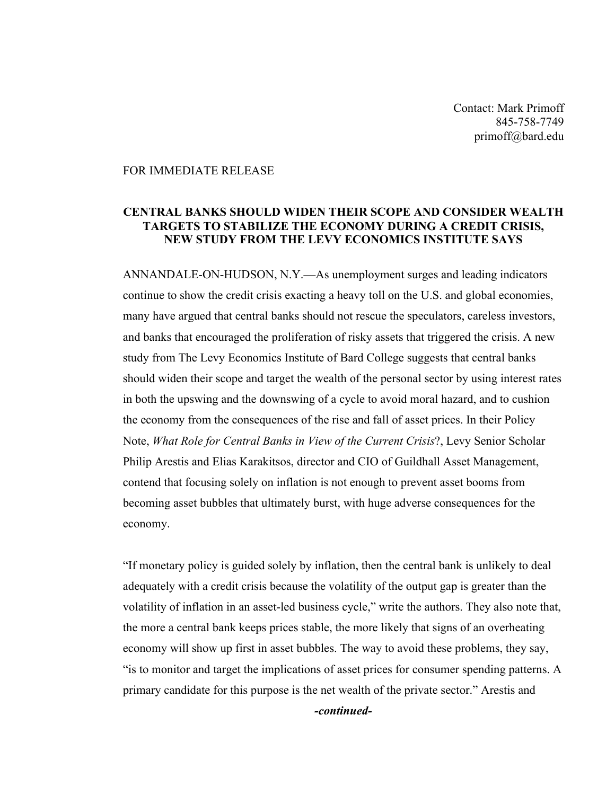Contact: Mark Primoff 845-758-7749 primoff@bard.edu

## FOR IMMEDIATE RELEASE

## **CENTRAL BANKS SHOULD WIDEN THEIR SCOPE AND CONSIDER WEALTH TARGETS TO STABILIZE THE ECONOMY DURING A CREDIT CRISIS, NEW STUDY FROM THE LEVY ECONOMICS INSTITUTE SAYS**

ANNANDALE-ON-HUDSON, N.Y.—As unemployment surges and leading indicators continue to show the credit crisis exacting a heavy toll on the U.S. and global economies, many have argued that central banks should not rescue the speculators, careless investors, and banks that encouraged the proliferation of risky assets that triggered the crisis. A new study from The Levy Economics Institute of Bard College suggests that central banks should widen their scope and target the wealth of the personal sector by using interest rates in both the upswing and the downswing of a cycle to avoid moral hazard, and to cushion the economy from the consequences of the rise and fall of asset prices. In their Policy Note, *What Role for Central Banks in View of the Current Crisis*?, Levy Senior Scholar Philip Arestis and Elias Karakitsos, director and CIO of Guildhall Asset Management, contend that focusing solely on inflation is not enough to prevent asset booms from becoming asset bubbles that ultimately burst, with huge adverse consequences for the economy.

"If monetary policy is guided solely by inflation, then the central bank is unlikely to deal adequately with a credit crisis because the volatility of the output gap is greater than the volatility of inflation in an asset-led business cycle," write the authors. They also note that, the more a central bank keeps prices stable, the more likely that signs of an overheating economy will show up first in asset bubbles. The way to avoid these problems, they say, "is to monitor and target the implications of asset prices for consumer spending patterns. A primary candidate for this purpose is the net wealth of the private sector." Arestis and

*-continued-*